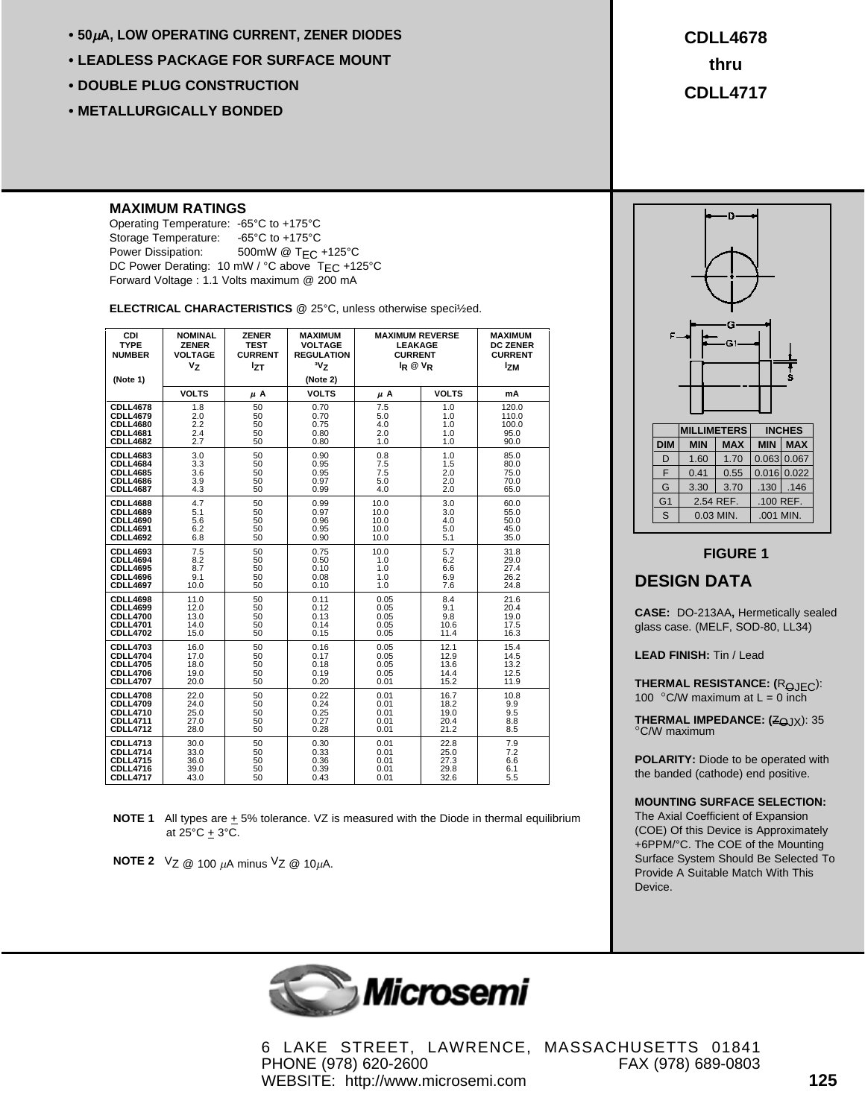- **50**µ**A, LOW OPERATING CURRENT, ZENER DIODES**
- **LEADLESS PACKAGE FOR SURFACE MOUNT**
- **DOUBLE PLUG CONSTRUCTION**
- **METALLURGICALLY BONDED**

**CDLL4678 thru CDLL4717**

#### **MAXIMUM RATINGS**

Operating Temperature: -65°C to +175°C Storage Temperature: -65°C to +175°C Power Dissipation: 500mW @ T<sub>EC</sub> +125°C DC Power Derating: 10 mW / °C above T<sub>EC</sub> +125°C Forward Voltage : 1.1 Volts maximum @ 200 mA

**ELECTRICAL CHARACTERISTICS** @ 25°C, unless otherwise speci½ed.

| CDI<br><b>TYPE</b><br><b>NUMBER</b><br>(Note 1) | <b>NOMINAL</b><br><b>ZENER</b><br><b>VOLTAGE</b><br>V <sub>z</sub> | <b>ZENER</b><br><b>TEST</b><br><b>CURRENT</b><br>lzτ | <b>MAXIMUM</b><br><b>VOLTAGE</b><br><b>REGULATION</b><br>$v_{Z}$<br>(Note 2) | <b>MAXIMUM REVERSE</b><br><b>LEAKAGE</b><br><b>CURRENT</b><br>$I_R @ V_R$ |              | <b>MAXIMUM</b><br><b>DC ZENER</b><br><b>CURRENT</b><br><sup>1</sup> zm |
|-------------------------------------------------|--------------------------------------------------------------------|------------------------------------------------------|------------------------------------------------------------------------------|---------------------------------------------------------------------------|--------------|------------------------------------------------------------------------|
|                                                 | <b>VOLTS</b>                                                       | μΑ                                                   | <b>VOLTS</b>                                                                 | $\mu$ A                                                                   | <b>VOLTS</b> | mA                                                                     |
| <b>CDLL4678</b>                                 | 1.8                                                                | 50                                                   | 0.70                                                                         | 7.5                                                                       | 1.0          | 120.0                                                                  |
| <b>CDLL4679</b>                                 | 2.0                                                                | 50                                                   | 0.70                                                                         | 5.0                                                                       | 1.0          | 110.0                                                                  |
| <b>CDLL4680</b>                                 | 2.2                                                                | 50                                                   | 0.75                                                                         | 4.0                                                                       | 1.0          | 100.0                                                                  |
| <b>CDLL4681</b>                                 | 2.4                                                                | 50                                                   | 0.80                                                                         | 2.0                                                                       | 1.0          | 95.0                                                                   |
| <b>CDLL4682</b>                                 | 2.7                                                                | 50                                                   | 0.80                                                                         | 1.0                                                                       | 1.0          | 90.0                                                                   |
| <b>CDLL4683</b>                                 | 3.0                                                                | 50                                                   | 0.90                                                                         | 0.8                                                                       | 1.0          | 85.0                                                                   |
| <b>CDLL4684</b>                                 | 3.3                                                                | 50                                                   | 0.95                                                                         | 7.5                                                                       | 1.5          | 80.0                                                                   |
| <b>CDLL4685</b>                                 | 3.6                                                                | 50                                                   | 0.95                                                                         | 7.5                                                                       | 2.0          | 75.0                                                                   |
| <b>CDLL4686</b>                                 | 3.9                                                                | 50                                                   | 0.97                                                                         | 5.0                                                                       | 2.0          | 70.0                                                                   |
| <b>CDLL4687</b>                                 | 4.3                                                                | 50                                                   | 0.99                                                                         | 4.0                                                                       | 2.0          | 65.0                                                                   |
| <b>CDLL4688</b>                                 | 4.7                                                                | 50                                                   | 0.99                                                                         | 10.0                                                                      | 3.0          | 60.0                                                                   |
| <b>CDLL4689</b>                                 | 5.1                                                                | 50                                                   | 0.97                                                                         | 10.0                                                                      | 3.0          | 55.0                                                                   |
| <b>CDLL4690</b>                                 | 5.6                                                                | 50                                                   | 0.96                                                                         | 10.0                                                                      | 4.0          | 50.0                                                                   |
| <b>CDLL4691</b>                                 | 6.2                                                                | 50                                                   | 0.95                                                                         | 10.0                                                                      | 5.0          | 45.0                                                                   |
| <b>CDLL4692</b>                                 | 6.8                                                                | 50                                                   | 0.90                                                                         | 10.0                                                                      | 5.1          | 35.0                                                                   |
| <b>CDLL4693</b>                                 | 7.5                                                                | 50                                                   | 0.75                                                                         | 10.0                                                                      | 5.7          | 31.8                                                                   |
| <b>CDLL4694</b>                                 | 8.2                                                                | 50                                                   | 0.50                                                                         | 1.0                                                                       | 6.2          | 29.0                                                                   |
| <b>CDLL4695</b>                                 | 8.7                                                                | 50                                                   | 0.10                                                                         | 1.0                                                                       | 6.6          | 27.4                                                                   |
| <b>CDLL4696</b>                                 | 9.1                                                                | 50                                                   | 0.08                                                                         | 1.0                                                                       | 6.9          | 26.2                                                                   |
| <b>CDLL4697</b>                                 | 10.0                                                               | 50                                                   | 0.10                                                                         | 1.0                                                                       | 7.6          | 24.8                                                                   |
| <b>CDLL4698</b>                                 | 11.0                                                               | 50                                                   | 0.11                                                                         | 0.05                                                                      | 8.4          | 21.6                                                                   |
| <b>CDLL4699</b>                                 | 12.0                                                               | 50                                                   | 0.12                                                                         | 0.05                                                                      | 9.1          | 20.4                                                                   |
| <b>CDLL4700</b>                                 | 13.0                                                               | 50                                                   | 0.13                                                                         | 0.05                                                                      | 9.8          | 19.0                                                                   |
| <b>CDLL4701</b>                                 | 14.0                                                               | 50                                                   | 0.14                                                                         | 0.05                                                                      | 10.6         | 17.5                                                                   |
| <b>CDLL4702</b>                                 | 15.0                                                               | 50                                                   | 0.15                                                                         | 0.05                                                                      | 11.4         | 16.3                                                                   |
| <b>CDLL4703</b>                                 | 16.0                                                               | 50                                                   | 0.16                                                                         | 0.05                                                                      | 12.1         | 15.4                                                                   |
| <b>CDLL4704</b>                                 | 17.0                                                               | 50                                                   | 0.17                                                                         | 0.05                                                                      | 12.9         | 14.5                                                                   |
| <b>CDLL4705</b>                                 | 18.0                                                               | 50                                                   | 0.18                                                                         | 0.05                                                                      | 13.6         | 13.2                                                                   |
| <b>CDLL4706</b>                                 | 19.0                                                               | 50                                                   | 0.19                                                                         | 0.05                                                                      | 14.4         | 12.5                                                                   |
| <b>CDLL4707</b>                                 | 20.0                                                               | 50                                                   | 0.20                                                                         | 0.01                                                                      | 15.2         | 11.9                                                                   |
| <b>CDLL4708</b>                                 | 22.0                                                               | 50                                                   | 0.22                                                                         | 0.01                                                                      | 16.7         | 10.8                                                                   |
| <b>CDLL4709</b>                                 | 24.0                                                               | 50                                                   | 0.24                                                                         | 0.01                                                                      | 18.2         | 9.9                                                                    |
| <b>CDLL4710</b>                                 | 25.0                                                               | 50                                                   | 0.25                                                                         | 0.01                                                                      | 19.0         | 9.5                                                                    |
| <b>CDLL4711</b>                                 | 27.0                                                               | 50                                                   | 0.27                                                                         | 0.01                                                                      | 20.4         | 8.8                                                                    |
| <b>CDLL4712</b>                                 | 28.0                                                               | 50                                                   | 0.28                                                                         | 0.01                                                                      | 21.2         | 8.5                                                                    |
| <b>CDLL4713</b>                                 | 30.0                                                               | 50                                                   | 0.30                                                                         | 0.01                                                                      | 22.8         | 7.9                                                                    |
| <b>CDLL4714</b>                                 | 33.0                                                               | 50                                                   | 0.33                                                                         | 0.01                                                                      | 25.0         | 7.2                                                                    |
| <b>CDLL4715</b>                                 | 36.0                                                               | 50                                                   | 0.36                                                                         | 0.01                                                                      | 27.3         | 6.6                                                                    |
| <b>CDLL4716</b>                                 | 39.0                                                               | 50                                                   | 0.39                                                                         | 0.01                                                                      | 29.8         | 6.1                                                                    |
| <b>CDLL4717</b>                                 | 43.0                                                               | 50                                                   | 0.43                                                                         | 0.01                                                                      | 32.6         | 5.5                                                                    |

**NOTE 1** All types are  $\pm$  5% tolerance. VZ is measured with the Diode in thermal equilibrium at  $25^{\circ}$ C  $\pm$  3°C.

**NOTE 2**  $V_Z \text{ } @$  100  $\mu$ A minus  $V_Z \text{ } @$  10 $\mu$ A.



#### **FIGURE 1**

#### **DESIGN DATA**

**CASE:** DO-213AA**,** Hermetically sealed glass case. (MELF, SOD-80, LL34)

**LEAD FINISH:** Tin / Lead

**THERMAL RESISTANCE: (ROJEC):** 100  $\degree$ C/W maximum at L = 0 inch

**THERMAL IMPEDANCE: (ZOJX): 35** °C/W maximum

**POLARITY:** Diode to be operated with the banded (cathode) end positive.

#### **MOUNTING SURFACE SELECTION:**

The Axial Coefficient of Expansion (COE) Of this Device is Approximately +6PPM/°C. The COE of the Mounting Surface System Should Be Selected To Provide A Suitable Match With This Device.



6 LAKE STREET, LAWRENCE, MASSACHUSETTS 01841 PHONE (978) 620-2600 FAX (978) 689-0803 WEBSITE: http://www.microsemi.com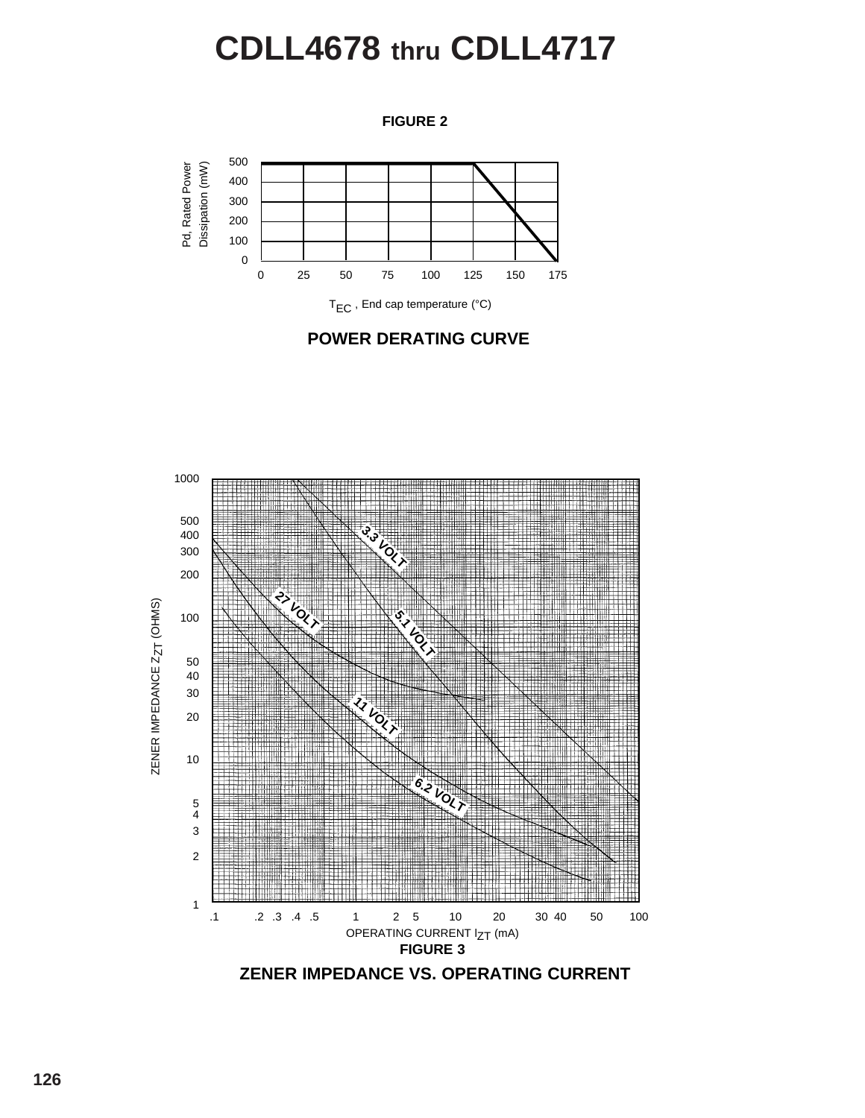# **CDLL4678 thru CDLL4717**

**FIGURE 2**









**ZENER IMPEDANCE VS. OPERATING CURRENT**